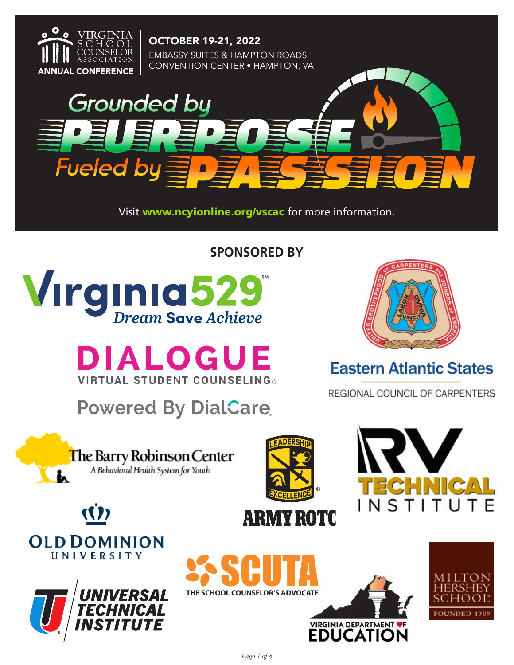

OCTOBER 19-21, 2022 EMBASSY SUITES & HAMPTON ROADS **ANNUAL CONFERENCE** CONVENTION CENTER • HAMPTON, VA



Visit www.ncyionline.org/vscac for more information.

**SPONSORED BY**



**DIALOGUE VIRTUAL STUDENT COUNSELING®** 

**Powered By DialCare** 



# **Eastern Atlantic States**

REGIONAL COUNCIL OF CARPENTERS











**SP SCUTA** 



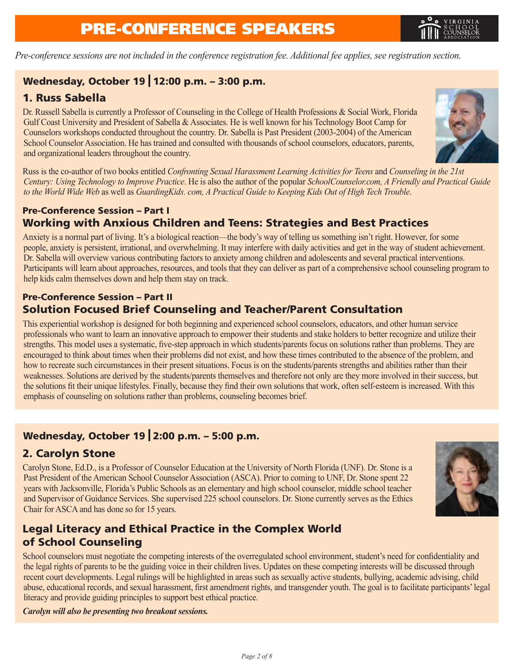# PRE-CONFERENCE SPEAKERS



*Pre-conference sessions are not included in the conference registration fee. Additional fee applies, see registration section.*

### Wednesday, October 19 12:00 p.m. – 3:00 p.m.

### 1. Russ Sabella

Dr. Russell Sabella is currently a Professor of Counseling in the College of Health Professions & Social Work, Florida Gulf Coast University and President of Sabella & Associates. He is well known for his Technology Boot Camp for Counselors workshops conducted throughout the country. Dr. Sabella is Past President (2003-2004) of the American School Counselor Association. He has trained and consulted with thousands of school counselors, educators, parents, and organizational leaders throughout the country.



Russ is the co-author of two books entitled *Confronting Sexual Harassment Learning Activities for Teens* and *Counseling in the 21st Century: Using Technology to Improve Practice*. He is also the author of the popular *SchoolCounselor.com, A Friendly and Practical Guide to the World Wide Web* as well as *GuardingKids. com, A Practical Guide to Keeping Kids Out of High Tech Trouble*.

### Pre-Conference Session – Part I Working with Anxious Children and Teens: Strategies and Best Practices

Anxiety is a normal part of living. It's a biological reaction—the body's way of telling us something isn't right. However, for some people, anxiety is persistent, irrational, and overwhelming. It may interfere with daily activities and get in the way of student achievement. Dr. Sabella will overview various contributing factors to anxiety among children and adolescents and several practical interventions. Participants will learn about approaches, resources, and tools that they can deliver as part of a comprehensive school counseling program to help kids calm themselves down and help them stay on track.

### Pre-Conference Session – Part II Solution Focused Brief Counseling and Teacher/Parent Consultation

This experiential workshop is designed for both beginning and experienced school counselors, educators, and other human service professionals who want to learn an innovative approach to empower their students and stake holders to better recognize and utilize their strengths. This model uses a systematic, five-step approach in which students/parents focus on solutions rather than problems. They are encouraged to think about times when their problems did not exist, and how these times contributed to the absence of the problem, and how to recreate such circumstances in their present situations. Focus is on the students/parents strengths and abilities rather than their weaknesses. Solutions are derived by the students/parents themselves and therefore not only are they more involved in their success, but the solutions fit their unique lifestyles. Finally, because they find their own solutions that work, often self-esteem is increased. With this emphasis of counseling on solutions rather than problems, counseling becomes brief.

## Wednesday, October 19 2:00 p.m. – 5:00 p.m.

### 2. Carolyn Stone

Carolyn Stone, Ed.D., is a Professor of Counselor Education at the University of North Florida (UNF). Dr. Stone is a Past President of the American School Counselor Association (ASCA). Prior to coming to UNF, Dr. Stone spent 22 years with Jacksonville, Florida's Public Schools as an elementary and high school counselor, middle school teacher and Supervisor of Guidance Services. She supervised 225 school counselors. Dr. Stone currently serves as the Ethics Chair for ASCA and has done so for 15 years.



### Legal Literacy and Ethical Practice in the Complex World of School Counseling

School counselors must negotiate the competing interests of the overregulated school environment, student's need for confidentiality and the legal rights of parents to be the guiding voice in their children lives. Updates on these competing interests will be discussed through recent court developments. Legal rulings will be highlighted in areas such as sexually active students, bullying, academic advising, child abuse, educational records, and sexual harassment, first amendment rights, and transgender youth. The goal is to facilitate participants' legal literacy and provide guiding principles to support best ethical practice.

*Carolyn will also be presenting two breakout sessions.*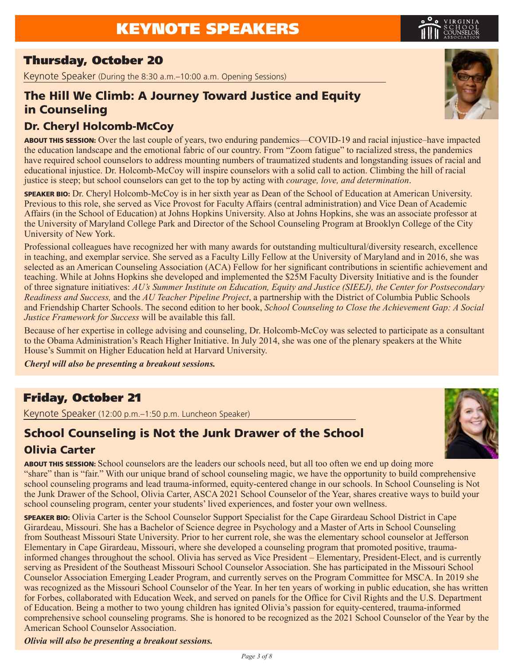## Thursday, October 20

Keynote Speaker (During the 8:30 a.m.–10:00 a.m. Opening Sessions)

## The Hill We Climb: A Journey Toward Justice and Equity in Counseling

### Dr. Cheryl Holcomb-McCoy

ABOUT THIS SESSION: Over the last couple of years, two enduring pandemics—COVID-19 and racial injustice–have impacted the education landscape and the emotional fabric of our country. From "Zoom fatigue" to racialized stress, the pandemics have required school counselors to address mounting numbers of traumatized students and longstanding issues of racial and educational injustice. Dr. Holcomb-McCoy will inspire counselors with a solid call to action. Climbing the hill of racial justice is steep; but school counselors can get to the top by acting with *courage, love, and determination*.

SPEAKER BIO: Dr. Cheryl Holcomb-McCoy is in her sixth year as Dean of the School of Education at American University. Previous to this role, she served as Vice Provost for Faculty Affairs (central administration) and Vice Dean of Academic Affairs (in the School of Education) at Johns Hopkins University. Also at Johns Hopkins, she was an associate professor at the University of Maryland College Park and Director of the School Counseling Program at Brooklyn College of the City University of New York.

Professional colleagues have recognized her with many awards for outstanding multicultural/diversity research, excellence in teaching, and exemplar service. She served as a Faculty Lilly Fellow at the University of Maryland and in 2016, she was selected as an American Counseling Association (ACA) Fellow for her significant contributions in scientific achievement and teaching. While at Johns Hopkins she developed and implemented the \$25M Faculty Diversity Initiative and is the founder of three signature initiatives: *AU's Summer Institute on Education, Equity and Justice (SIEEJ), the Center for Postsecondary Readiness and Success,* and the *AU Teacher Pipeline Project*, a partnership with the District of Columbia Public Schools and Friendship Charter Schools. The second edition to her book, *School Counseling to Close the Achievement Gap: A Social Justice Framework for Success* will be available this fall.

Because of her expertise in college advising and counseling, Dr. Holcomb-McCoy was selected to participate as a consultant to the Obama Administration's Reach Higher Initiative. In July 2014, she was one of the plenary speakers at the White House's Summit on Higher Education held at Harvard University.

*Cheryl will also be presenting a breakout sessions.*

## Friday, October 21

Keynote Speaker (12:00 p.m.–1:50 p.m. Luncheon Speaker)

### School Counseling is Not the Junk Drawer of the School Olivia Carter

ABOUT THIS SESSION: School counselors are the leaders our schools need, but all too often we end up doing more "share" than is "fair." With our unique brand of school counseling magic, we have the opportunity to build comprehensive school counseling programs and lead trauma-informed, equity-centered change in our schools. In School Counseling is Not the Junk Drawer of the School, Olivia Carter, ASCA 2021 School Counselor of the Year, shares creative ways to build your school counseling program, center your students' lived experiences, and foster your own wellness.

SPEAKER BIO: Olivia Carter is the School Counselor Support Specialist for the Cape Girardeau School District in Cape Girardeau, Missouri. She has a Bachelor of Science degree in Psychology and a Master of Arts in School Counseling from Southeast Missouri State University. Prior to her current role, she was the elementary school counselor at Jefferson Elementary in Cape Girardeau, Missouri, where she developed a counseling program that promoted positive, traumainformed changes throughout the school. Olivia has served as Vice President – Elementary, President-Elect, and is currently serving as President of the Southeast Missouri School Counselor Association. She has participated in the Missouri School Counselor Association Emerging Leader Program, and currently serves on the Program Committee for MSCA. In 2019 she was recognized as the Missouri School Counselor of the Year. In her ten years of working in public education, she has written for Forbes, collaborated with Education Week, and served on panels for the Office for Civil Rights and the U.S. Department of Education. Being a mother to two young children has ignited Olivia's passion for equity-centered, trauma-informed comprehensive school counseling programs. She is honored to be recognized as the 2021 School Counselor of the Year by the American School Counselor Association.

*Olivia will also be presenting a breakout sessions.*





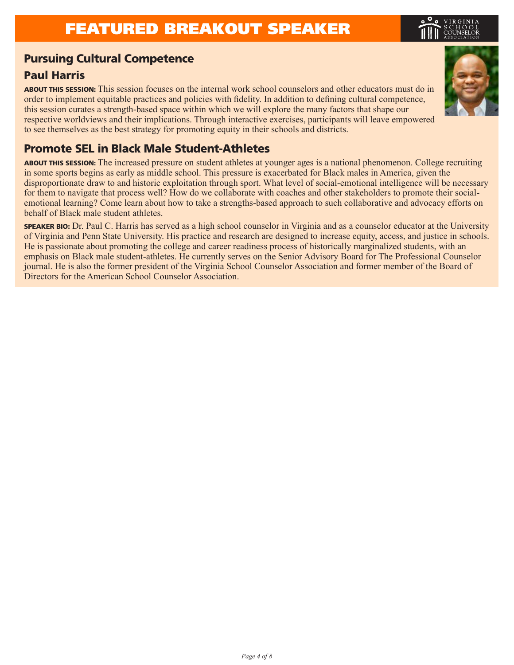## FEATURED BREAKOUT SPEAKER

### Pursuing Cultural Competence

### Paul Harris

ABOUT THIS SESSION: This session focuses on the internal work school counselors and other educators must do in order to implement equitable practices and policies with fidelity. In addition to defining cultural competence, this session curates a strength-based space within which we will explore the many factors that shape our respective worldviews and their implications. Through interactive exercises, participants will leave empowered to see themselves as the best strategy for promoting equity in their schools and districts.

## Promote SEL in Black Male Student-Athletes

ABOUT THIS SESSION: The increased pressure on student athletes at younger ages is a national phenomenon. College recruiting in some sports begins as early as middle school. This pressure is exacerbated for Black males in America, given the disproportionate draw to and historic exploitation through sport. What level of social-emotional intelligence will be necessary for them to navigate that process well? How do we collaborate with coaches and other stakeholders to promote their socialemotional learning? Come learn about how to take a strengths-based approach to such collaborative and advocacy efforts on behalf of Black male student athletes.

SPEAKER BIO: Dr. Paul C. Harris has served as a high school counselor in Virginia and as a counselor educator at the University of Virginia and Penn State University. His practice and research are designed to increase equity, access, and justice in schools. He is passionate about promoting the college and career readiness process of historically marginalized students, with an emphasis on Black male student-athletes. He currently serves on the Senior Advisory Board for The Professional Counselor journal. He is also the former president of the Virginia School Counselor Association and former member of the Board of Directors for the American School Counselor Association.

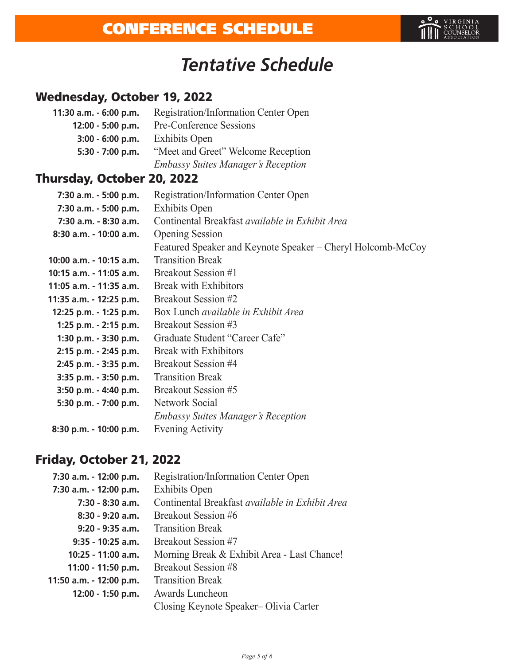

# *Tentative Schedule*

## Wednesday, October 19, 2022

| 11:30 a.m. - 6:00 p.m. | <b>Registration/Information Center Open</b> |  |  |
|------------------------|---------------------------------------------|--|--|
| 12:00 - 5:00 p.m.      | Pre-Conference Sessions                     |  |  |
| $3:00 - 6:00$ p.m.     | <b>Exhibits Open</b>                        |  |  |
| 5:30 - 7:00 p.m.       | "Meet and Greet" Welcome Reception          |  |  |
|                        | <b>Embassy Suites Manager's Reception</b>   |  |  |

## Thursday, October 20, 2022

| 7:30 a.m. - 5:00 p.m.   | <b>Registration/Information Center Open</b>                 |
|-------------------------|-------------------------------------------------------------|
| 7:30 a.m. - 5:00 p.m.   | <b>Exhibits Open</b>                                        |
| 7:30 a.m. - 8:30 a.m.   | Continental Breakfast <i>available in Exhibit Area</i>      |
| 8:30 a.m. - 10:00 a.m.  | <b>Opening Session</b>                                      |
|                         | Featured Speaker and Keynote Speaker – Cheryl Holcomb-McCoy |
| 10:00 a.m. - 10:15 a.m. | <b>Transition Break</b>                                     |
| 10:15 a.m. - 11:05 a.m. | Breakout Session #1                                         |
| 11:05 a.m. - 11:35 a.m. | <b>Break with Exhibitors</b>                                |
| 11:35 a.m. - 12:25 p.m. | Breakout Session #2                                         |
| 12:25 p.m. - 1:25 p.m.  | Box Lunch available in Exhibit Area                         |
| 1:25 p.m. - 2:15 p.m.   | Breakout Session #3                                         |
| 1:30 p.m. - 3:30 p.m.   | Graduate Student "Career Cafe"                              |
| 2:15 p.m. - 2:45 p.m.   | <b>Break with Exhibitors</b>                                |
| 2:45 p.m. - 3:35 p.m.   | Breakout Session #4                                         |
| 3:35 p.m. - 3:50 p.m.   | <b>Transition Break</b>                                     |
| 3:50 p.m. - 4:40 p.m.   | Breakout Session #5                                         |
| 5:30 p.m. - 7:00 p.m.   | Network Social                                              |
|                         | <b>Embassy Suites Manager's Reception</b>                   |
| 8:30 p.m. - 10:00 p.m.  | Evening Activity                                            |
|                         |                                                             |

## Friday, October 21, 2022

| 7:30 a.m. - 12:00 p.m.  | <b>Registration/Information Center Open</b>     |
|-------------------------|-------------------------------------------------|
|                         |                                                 |
| 7:30 a.m. - 12:00 p.m.  | <b>Exhibits Open</b>                            |
| $7:30 - 8:30$ a.m.      | Continental Breakfast available in Exhibit Area |
| $8:30 - 9:20$ a.m.      | Breakout Session #6                             |
| $9:20 - 9:35$ a.m.      | <b>Transition Break</b>                         |
| $9:35 - 10:25$ a.m.     | Breakout Session #7                             |
| 10:25 - 11:00 a.m.      | Morning Break & Exhibit Area - Last Chance!     |
| 11:00 - 11:50 p.m.      | Breakout Session #8                             |
| 11:50 a.m. - 12:00 p.m. | <b>Transition Break</b>                         |
| 12:00 - 1:50 p.m.       | Awards Luncheon                                 |
|                         | Closing Keynote Speaker–Olivia Carter           |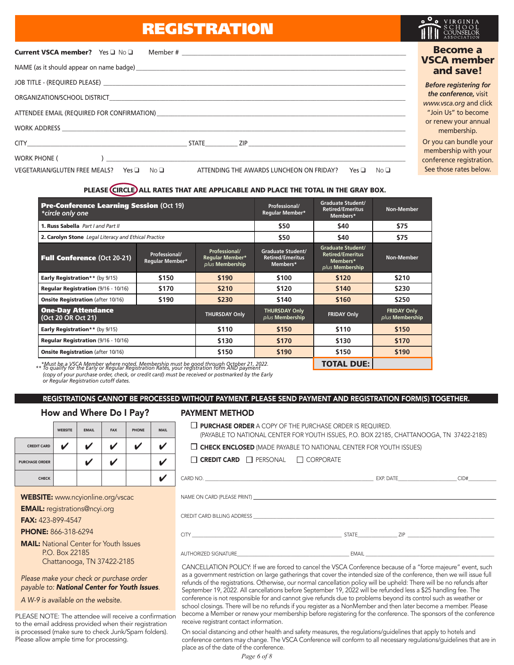## REGISTRATION

| Current VSCA member? Yes Q No Q                                                                                                                                       | <b>Become a</b><br><b>VSCA member</b>                                      |
|-----------------------------------------------------------------------------------------------------------------------------------------------------------------------|----------------------------------------------------------------------------|
|                                                                                                                                                                       | and save!                                                                  |
|                                                                                                                                                                       | <b>Before registering for</b>                                              |
|                                                                                                                                                                       | the conference, visit<br>www.vsca.org and click                            |
| ATTENDEE EMAIL (REQUIRED FOR CONFIRMATION)                                                                                                                            | "Join Us" to become                                                        |
| WORK ADDRESS <b>And All And All And All And All And All And All And All And All And All And All And All And All And A</b>                                             | or renew your annual<br>membership.                                        |
| CITY STATE ZIP                                                                                                                                                        | Or you can bundle your                                                     |
| <b>WORK PHONE (</b><br>No <sub>1</sub><br>VEGETARIAN/GLUTEN FREE MEALS?<br>ATTENDING THE AWARDS LUNCHEON ON FRIDAY?<br>No <sub>D</sub><br>$Yes \Box$<br>Yes $\square$ | membership with your<br>conference registration.<br>See those rates below. |
|                                                                                                                                                                       |                                                                            |

### PLEASE CIRCLE ALL RATES THAT ARE APPLICABLE AND PLACE THE TOTAL IN THE GRAY BOX.

| <b>Pre-Conference Learning Session (Oct 19)</b><br>*circle only one                                                                                                                    |                                  | Professional/<br>Regular Member*                    | <b>Graduate Student/</b><br><b>Retired/Emeritus</b><br>Members* | Non-Member                                                                         |                                       |
|----------------------------------------------------------------------------------------------------------------------------------------------------------------------------------------|----------------------------------|-----------------------------------------------------|-----------------------------------------------------------------|------------------------------------------------------------------------------------|---------------------------------------|
| 1. Russ Sabella Part Land Part II                                                                                                                                                      |                                  | \$50                                                | \$40                                                            | \$75                                                                               |                                       |
| 2. Carolyn Stone Legal Literacy and Ethical Practice                                                                                                                                   |                                  |                                                     | \$50                                                            | \$40                                                                               | \$75                                  |
| <b>Full Conference (Oct 20-21)</b>                                                                                                                                                     | Professional/<br>Regular Member* | Professional/<br>Regular Member*<br>plus Membership | <b>Graduate Student/</b><br><b>Retired/Emeritus</b><br>Members* | <b>Graduate Student/</b><br><b>Retired/Emeritus</b><br>Members*<br>plus Membership | <b>Non-Member</b>                     |
| <b>Early Registration** (by 9/15)</b>                                                                                                                                                  | \$150                            | \$190                                               | \$100                                                           | \$120                                                                              | \$210                                 |
| Regular Registration (9/16 - 10/16)                                                                                                                                                    | \$170                            | \$210                                               | \$120                                                           | \$140                                                                              | \$230                                 |
| <b>Onsite Registration (after 10/16)</b>                                                                                                                                               | \$190<br>\$230                   |                                                     | \$140                                                           | \$160                                                                              | \$250                                 |
| <b>One-Day Attendance</b><br>(Oct 20 OR Oct 21)                                                                                                                                        |                                  | <b>THURSDAY Only</b>                                | <b>THURSDAY Only</b><br><b>FRIDAY Only</b><br>plus Membership   |                                                                                    | <b>FRIDAY Only</b><br>plus Membership |
| <b>Early Registration** (by 9/15)</b>                                                                                                                                                  |                                  | \$110                                               | \$150                                                           | \$110                                                                              | \$150                                 |
| <b>Regular Registration (9/16 - 10/16)</b>                                                                                                                                             |                                  | \$130                                               | \$170                                                           | \$130                                                                              | \$170                                 |
| \$150<br><b>Onsite Registration (after 10/16)</b>                                                                                                                                      |                                  |                                                     | \$190                                                           | \$150                                                                              |                                       |
| *Must be a VSCA Member where noted. Membership must be good through October 21, 2022.<br>** To qualify for the Early or Regular Registration Rates, your registration form AND payment |                                  |                                                     |                                                                 | <b>TOTAL DUE:</b>                                                                  |                                       |

*(copy of your purchase order, check, or credit card) must be received or postmarked by the Early or Regular Registration cutoff dates.*

### REGISTRATIONS CANNOT BE PROCESSED WITHOUT PAYMENT. PLEASE SEND PAYMENT AND REGISTRATION FORM(S) TOGETHER.

### How and Where Do I Pay?

|                       | <b>WEBSITE</b> | <b>EMAIL</b> | <b>FAX</b>       | <b>PHONE</b> | <b>MAIL</b> |
|-----------------------|----------------|--------------|------------------|--------------|-------------|
| <b>CREDIT CARD</b>    |                | V            | V                | v            |             |
| <b>PURCHASE ORDER</b> |                | V            | $\boldsymbol{V}$ |              |             |
| <b>CHECK</b>          |                |              |                  |              |             |

WEBSITE: www.ncyionline.org/vscac

EMAIL: registrations@ncyi.org

FAX: 423-899-4547

PHONE: 866-318-6294

MAIL: National Center for Youth Issues P.O. Box 22185 Chattanooga, TN 37422-2185

*Please make your check or purchase order payable to: National Center for Youth Issues*.

*A W-9 is available on the website.*

PLEASE NOTE: The attendee will receive a confirmation to the email address provided when their registration is processed (make sure to check Junk/Spam folders). Please allow ample time for processing.

### PAYMENT METHOD

 $\Box$  PURCHASE ORDER A COPY OF THE PURCHASE ORDER IS REQUIRED. (PAYABLE TO NATIONAL CENTER FOR YOUTH ISSUES, P.O. BOX 22185, CHATTANOOGA, TN 37422-2185)

 $\Box$  CHECK ENCLOSED (MADE PAYABLE TO NATIONAL CENTER FOR YOUTH ISSUES)

| $\Box$ CREDIT CARD | $\Box$ PERSONAL | $\Box$ CORPORATE |
|--------------------|-----------------|------------------|
|--------------------|-----------------|------------------|

|                                                                                                                                                                                                                                | EXP. DATE | CID# |
|--------------------------------------------------------------------------------------------------------------------------------------------------------------------------------------------------------------------------------|-----------|------|
| NAME ON CARD (PLEASE PRINT) A 2008 THE RESERVED ON A 2008 OF THE RESERVED ON A 2008 OF THE RESERVED ON A 2008 OF THE RESERVED ON A 2008 OF THE RESERVED ON A 2008 OF THE RESERVED ON A 2008 OF THE RESERVED ON A 2008 OF THE R |           |      |
|                                                                                                                                                                                                                                |           |      |
|                                                                                                                                                                                                                                | STATE ZIP |      |
| AUTHORIZED SIGNATURE <b>AUTHORIZED</b>                                                                                                                                                                                         |           |      |

CANCELLATION POLICY: If we are forced to cancel the VSCA Conference because of a "force majeure" event, such as a government restriction on large gatherings that cover the intended size of the conference, then we will issue full refunds of the registrations. Otherwise, our normal cancellation policy will be upheld: There will be no refunds after September 19, 2022. All cancellations before September 19, 2022 will be refunded less a \$25 handling fee. The conference is not responsible for and cannot give refunds due to problems beyond its control such as weather or school closings. There will be no refunds if you register as a NonMember and then later become a member. Please become a Member or renew your membership before registering for the conference. The sponsors of the conference receive registrant contact information.

On social distancing and other health and safety measures, the regulations/guidelines that apply to hotels and conference centers may change. The VSCA Conference will conform to all necessary regulations/guidelines that are in place as of the date of the conference.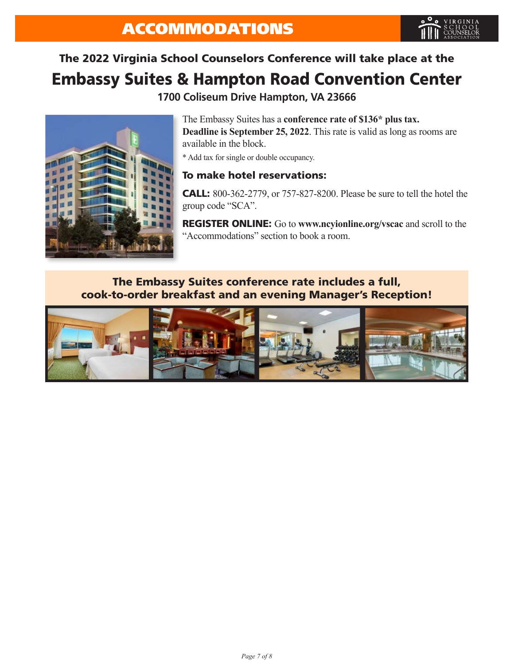# The 2022 Virginia School Counselors Conference will take place at the Embassy Suites & Hampton Road Convention Center

**1700 Coliseum Drive Hampton, VA 23666**



The Embassy Suites has a **conference rate of \$136\* plus tax. Deadline is September 25, 2022**. This rate is valid as long as rooms are available in the block.

\* Add tax for single or double occupancy.

### To make hotel reservations:

CALL: 800-362-2779, or 757-827-8200. Please be sure to tell the hotel the group code "SCA".

REGISTER ONLINE: Go to **www.ncyionline.org/vscac** and scroll to the "Accommodations" section to book a room.

### The Embassy Suites conference rate includes a full, cook-to-order breakfast and an evening Manager's Reception!